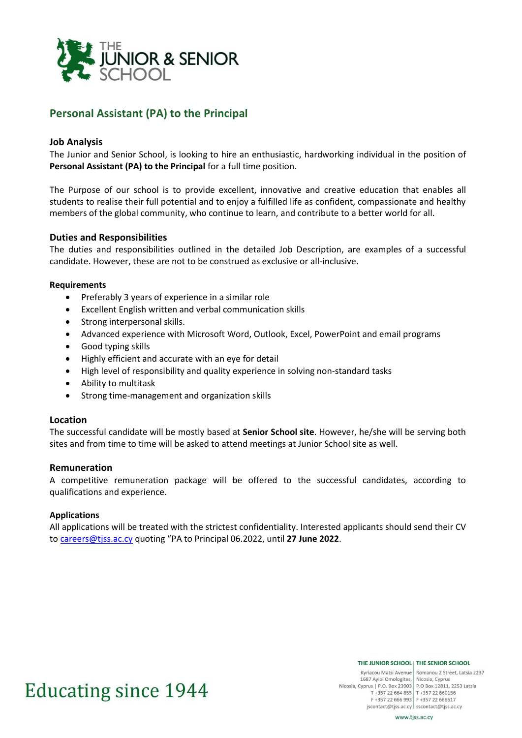

# **Personal Assistant (PA) to the Principal**

## **Job Analysis**

The Junior and Senior School, is looking to hire an enthusiastic, hardworking individual in the position of **Personal Assistant (PA) to the Principal** for a full time position.

The Purpose of our school is to provide excellent, innovative and creative education that enables all students to realise their full potential and to enjoy a fulfilled life as confident, compassionate and healthy members of the global community, who continue to learn, and contribute to a better world for all.

#### **Duties and Responsibilities**

The duties and responsibilities outlined in the detailed Job Description, are examples of a successful candidate. However, these are not to be construed as exclusive or all-inclusive.

#### **Requirements**

- Preferably 3 years of experience in a similar role
- Excellent English written and verbal communication skills
- Strong interpersonal skills.
- Advanced experience with Microsoft Word, Outlook, Excel, PowerPoint and email programs
- Good typing skills
- Highly efficient and accurate with an eye for detail
- High level of responsibility and quality experience in solving non-standard tasks
- Ability to multitask
- Strong time-management and organization skills

#### **Location**

The successful candidate will be mostly based at **Senior School site**. However, he/she will be serving both sites and from time to time will be asked to attend meetings at Junior School site as well.

#### **Remuneration**

A competitive remuneration package will be offered to the successful candidates, according to qualifications and experience.

#### **Applications**

All applications will be treated with the strictest confidentiality. Interested applicants should send their CV to [careers@tjss.ac.cy](mailto:careers@tjss.ac.cy) quoting "PA to Principal 06.2022, until **27 June 2022**.

# **Educating since 1944**

THE JUNIOR SCHOOL | THE SENIOR SCHOOL

Kyriacou Matsi Avenue Romanou 2 Street, Latsia 2237 1687 Ayioi Omologites, Nicosia, Cyprus Nicosia, Cyprus | P.O. Box 23903 | P.O Box 12811, 2253 Latsia T +357 22 664 855 T +357 22 660156<br>F +357 22 666 993 F +357 22 666617 jscontact@tjss.ac.cy | sscontact@tjss.ac.cy